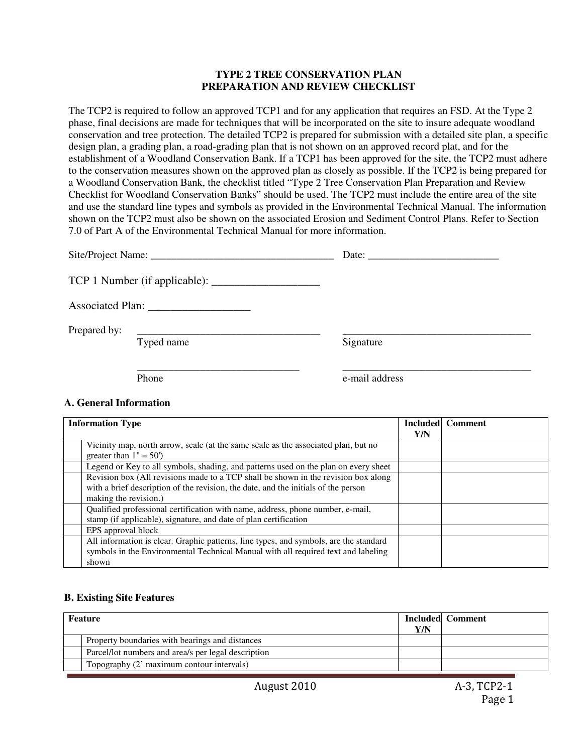### **TYPE 2 TREE CONSERVATION PLAN PREPARATION AND REVIEW CHECKLIST**

The TCP2 is required to follow an approved TCP1 and for any application that requires an FSD. At the Type 2 phase, final decisions are made for techniques that will be incorporated on the site to insure adequate woodland conservation and tree protection. The detailed TCP2 is prepared for submission with a detailed site plan, a specific design plan, a grading plan, a road-grading plan that is not shown on an approved record plat, and for the establishment of a Woodland Conservation Bank. If a TCP1 has been approved for the site, the TCP2 must adhere to the conservation measures shown on the approved plan as closely as possible. If the TCP2 is being prepared for a Woodland Conservation Bank, the checklist titled "Type 2 Tree Conservation Plan Preparation and Review Checklist for Woodland Conservation Banks" should be used. The TCP2 must include the entire area of the site and use the standard line types and symbols as provided in the Environmental Technical Manual. The information shown on the TCP2 must also be shown on the associated Erosion and Sediment Control Plans. Refer to Section 7.0 of Part A of the Environmental Technical Manual for more information.

|                              | Date: $\frac{1}{2}$ |
|------------------------------|---------------------|
|                              |                     |
|                              |                     |
| Prepared by: $\qquad \qquad$ |                     |
| Typed name                   | Signature           |
| Phone                        | e-mail address      |

### **A. General Information**

| <b>Information Type</b>                                                                                                                                                                           |     | <b>Included</b> Comment |
|---------------------------------------------------------------------------------------------------------------------------------------------------------------------------------------------------|-----|-------------------------|
|                                                                                                                                                                                                   | Y/N |                         |
| Vicinity map, north arrow, scale (at the same scale as the associated plan, but no<br>greater than $1" = 50'$                                                                                     |     |                         |
| Legend or Key to all symbols, shading, and patterns used on the plan on every sheet                                                                                                               |     |                         |
| Revision box (All revisions made to a TCP shall be shown in the revision box along<br>with a brief description of the revision, the date, and the initials of the person<br>making the revision.) |     |                         |
| Qualified professional certification with name, address, phone number, e-mail,<br>stamp (if applicable), signature, and date of plan certification                                                |     |                         |
| EPS approval block                                                                                                                                                                                |     |                         |
| All information is clear. Graphic patterns, line types, and symbols, are the standard<br>symbols in the Environmental Technical Manual with all required text and labeling<br>shown               |     |                         |

### **B. Existing Site Features**

| Feature                                             |  | <b>Included</b> Comment |
|-----------------------------------------------------|--|-------------------------|
| Property boundaries with bearings and distances     |  |                         |
| Parcel/lot numbers and area/s per legal description |  |                         |
| Topography (2' maximum contour intervals)           |  |                         |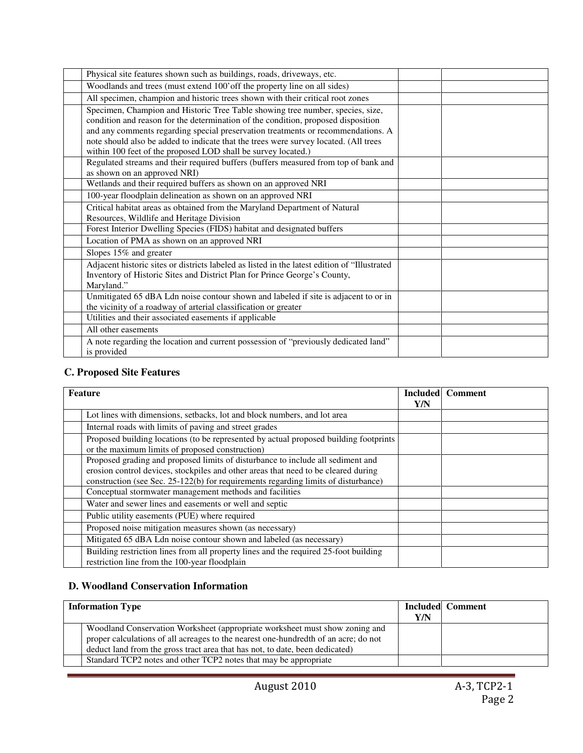| Physical site features shown such as buildings, roads, driveways, etc.                       |  |
|----------------------------------------------------------------------------------------------|--|
| Woodlands and trees (must extend 100' off the property line on all sides)                    |  |
| All specimen, champion and historic trees shown with their critical root zones               |  |
| Specimen, Champion and Historic Tree Table showing tree number, species, size,               |  |
| condition and reason for the determination of the condition, proposed disposition            |  |
| and any comments regarding special preservation treatments or recommendations. A             |  |
| note should also be added to indicate that the trees were survey located. (All trees         |  |
| within 100 feet of the proposed LOD shall be survey located.)                                |  |
| Regulated streams and their required buffers (buffers measured from top of bank and          |  |
| as shown on an approved NRI)                                                                 |  |
| Wetlands and their required buffers as shown on an approved NRI                              |  |
| 100-year floodplain delineation as shown on an approved NRI                                  |  |
| Critical habitat areas as obtained from the Maryland Department of Natural                   |  |
| Resources, Wildlife and Heritage Division                                                    |  |
| Forest Interior Dwelling Species (FIDS) habitat and designated buffers                       |  |
| Location of PMA as shown on an approved NRI                                                  |  |
| Slopes 15% and greater                                                                       |  |
| Adjacent historic sites or districts labeled as listed in the latest edition of "Illustrated |  |
| Inventory of Historic Sites and District Plan for Prince George's County,                    |  |
| Maryland."                                                                                   |  |
| Unmitigated 65 dBA Ldn noise contour shown and labeled if site is adjacent to or in          |  |
| the vicinity of a roadway of arterial classification or greater                              |  |
| Utilities and their associated easements if applicable                                       |  |
| All other easements                                                                          |  |
| A note regarding the location and current possession of "previously dedicated land"          |  |
| is provided                                                                                  |  |

### **C. Proposed Site Features**

| <b>Feature</b>                                                                        |     | <b>Included</b> Comment |
|---------------------------------------------------------------------------------------|-----|-------------------------|
|                                                                                       | Y/N |                         |
| Lot lines with dimensions, setbacks, lot and block numbers, and lot area              |     |                         |
| Internal roads with limits of paving and street grades                                |     |                         |
| Proposed building locations (to be represented by actual proposed building footprints |     |                         |
| or the maximum limits of proposed construction)                                       |     |                         |
| Proposed grading and proposed limits of disturbance to include all sediment and       |     |                         |
| erosion control devices, stockpiles and other areas that need to be cleared during    |     |                         |
| construction (see Sec. 25-122(b) for requirements regarding limits of disturbance)    |     |                         |
| Conceptual stormwater management methods and facilities                               |     |                         |
| Water and sewer lines and easements or well and septic                                |     |                         |
| Public utility easements (PUE) where required                                         |     |                         |
| Proposed noise mitigation measures shown (as necessary)                               |     |                         |
| Mitigated 65 dBA Ldn noise contour shown and labeled (as necessary)                   |     |                         |
| Building restriction lines from all property lines and the required 25-foot building  |     |                         |
| restriction line from the 100-year floodplain                                         |     |                         |

## **D. Woodland Conservation Information**

| <b>Information Type</b> |                                                                                                                                                                                                                                                    | Y/N | <b>Included</b> Comment |
|-------------------------|----------------------------------------------------------------------------------------------------------------------------------------------------------------------------------------------------------------------------------------------------|-----|-------------------------|
|                         | Woodland Conservation Worksheet (appropriate worksheet must show zoning and<br>proper calculations of all acreages to the nearest one-hundredth of an acre; do not<br>deduct land from the gross tract area that has not, to date, been dedicated) |     |                         |
|                         | Standard TCP2 notes and other TCP2 notes that may be appropriate                                                                                                                                                                                   |     |                         |

L,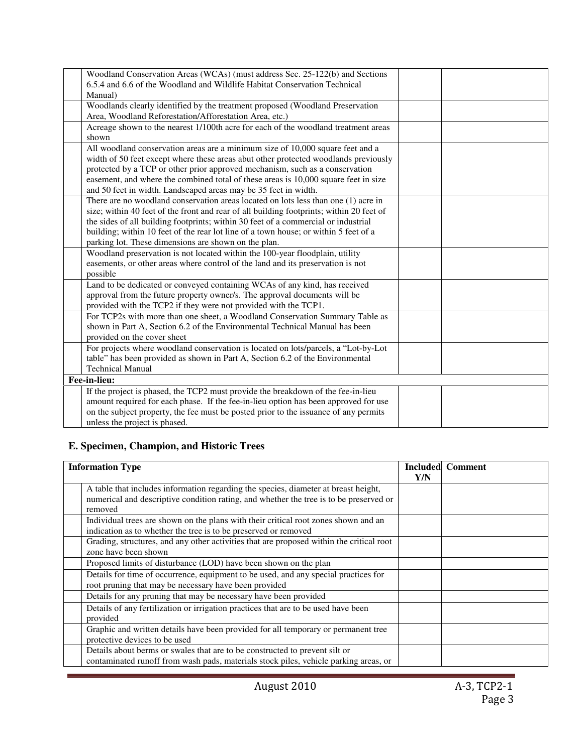| Woodland Conservation Areas (WCAs) (must address Sec. 25-122(b) and Sections             |  |
|------------------------------------------------------------------------------------------|--|
|                                                                                          |  |
| 6.5.4 and 6.6 of the Woodland and Wildlife Habitat Conservation Technical                |  |
| Manual)                                                                                  |  |
| Woodlands clearly identified by the treatment proposed (Woodland Preservation            |  |
| Area, Woodland Reforestation/Afforestation Area, etc.)                                   |  |
| Acreage shown to the nearest 1/100th acre for each of the woodland treatment areas       |  |
| shown                                                                                    |  |
| All woodland conservation areas are a minimum size of 10,000 square feet and a           |  |
| width of 50 feet except where these areas abut other protected woodlands previously      |  |
| protected by a TCP or other prior approved mechanism, such as a conservation             |  |
| easement, and where the combined total of these areas is 10,000 square feet in size      |  |
| and 50 feet in width. Landscaped areas may be 35 feet in width.                          |  |
| There are no woodland conservation areas located on lots less than one (1) acre in       |  |
| size; within 40 feet of the front and rear of all building footprints; within 20 feet of |  |
| the sides of all building footprints; within 30 feet of a commercial or industrial       |  |
| building; within 10 feet of the rear lot line of a town house; or within 5 feet of a     |  |
| parking lot. These dimensions are shown on the plan.                                     |  |
| Woodland preservation is not located within the 100-year floodplain, utility             |  |
| easements, or other areas where control of the land and its preservation is not          |  |
| possible                                                                                 |  |
|                                                                                          |  |
| Land to be dedicated or conveyed containing WCAs of any kind, has received               |  |
| approval from the future property owner/s. The approval documents will be                |  |
| provided with the TCP2 if they were not provided with the TCP1.                          |  |
| For TCP2s with more than one sheet, a Woodland Conservation Summary Table as             |  |
| shown in Part A, Section 6.2 of the Environmental Technical Manual has been              |  |
| provided on the cover sheet                                                              |  |
| For projects where woodland conservation is located on lots/parcels, a "Lot-by-Lot       |  |
| table" has been provided as shown in Part A, Section 6.2 of the Environmental            |  |
| <b>Technical Manual</b>                                                                  |  |
| Fee-in-lieu:                                                                             |  |
| If the project is phased, the TCP2 must provide the breakdown of the fee-in-lieu         |  |
| amount required for each phase. If the fee-in-lieu option has been approved for use      |  |
| on the subject property, the fee must be posted prior to the issuance of any permits     |  |
| unless the project is phased.                                                            |  |
|                                                                                          |  |

## **E. Specimen, Champion, and Historic Trees**

| <b>Information Type</b>                                                                                                                                                                  |  | <b>Included Comment</b> |
|------------------------------------------------------------------------------------------------------------------------------------------------------------------------------------------|--|-------------------------|
| A table that includes information regarding the species, diameter at breast height,<br>numerical and descriptive condition rating, and whether the tree is to be preserved or<br>removed |  |                         |
| Individual trees are shown on the plans with their critical root zones shown and an<br>indication as to whether the tree is to be preserved or removed                                   |  |                         |
| Grading, structures, and any other activities that are proposed within the critical root<br>zone have been shown                                                                         |  |                         |
| Proposed limits of disturbance (LOD) have been shown on the plan                                                                                                                         |  |                         |
| Details for time of occurrence, equipment to be used, and any special practices for<br>root pruning that may be necessary have been provided                                             |  |                         |
| Details for any pruning that may be necessary have been provided                                                                                                                         |  |                         |
| Details of any fertilization or irrigation practices that are to be used have been<br>provided                                                                                           |  |                         |
| Graphic and written details have been provided for all temporary or permanent tree<br>protective devices to be used                                                                      |  |                         |
| Details about berms or swales that are to be constructed to prevent silt or<br>contaminated runoff from wash pads, materials stock piles, vehicle parking areas, or                      |  |                         |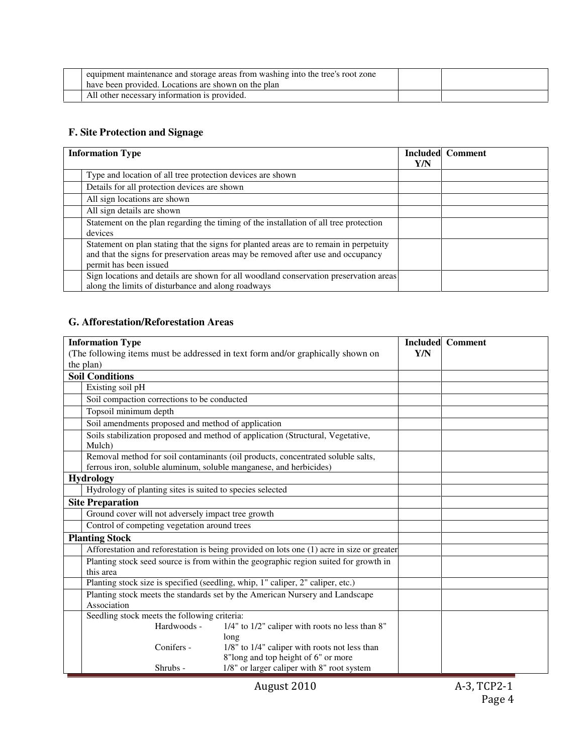| equipment maintenance and storage areas from washing into the tree's root zone<br>have been provided. Locations are shown on the plan |  |
|---------------------------------------------------------------------------------------------------------------------------------------|--|
| All other necessary information is provided.                                                                                          |  |

# **F. Site Protection and Signage**

| <b>Information Type</b>                                                                                                                                                                              |     | <b>Included Comment</b> |
|------------------------------------------------------------------------------------------------------------------------------------------------------------------------------------------------------|-----|-------------------------|
| Type and location of all tree protection devices are shown                                                                                                                                           | Y/N |                         |
| Details for all protection devices are shown                                                                                                                                                         |     |                         |
| All sign locations are shown                                                                                                                                                                         |     |                         |
| All sign details are shown                                                                                                                                                                           |     |                         |
| Statement on the plan regarding the timing of the installation of all tree protection<br>devices                                                                                                     |     |                         |
| Statement on plan stating that the signs for planted areas are to remain in perpetuity<br>and that the signs for preservation areas may be removed after use and occupancy<br>permit has been issued |     |                         |
| Sign locations and details are shown for all woodland conservation preservation areas<br>along the limits of disturbance and along roadways                                                          |     |                         |

## **G. Afforestation/Reforestation Areas**

| <b>Information Type</b>                                                                                                                               |     | <b>Included</b> Comment |
|-------------------------------------------------------------------------------------------------------------------------------------------------------|-----|-------------------------|
| (The following items must be addressed in text form and/or graphically shown on                                                                       | Y/N |                         |
| the plan)                                                                                                                                             |     |                         |
| <b>Soil Conditions</b>                                                                                                                                |     |                         |
| Existing soil pH                                                                                                                                      |     |                         |
| Soil compaction corrections to be conducted                                                                                                           |     |                         |
| Topsoil minimum depth                                                                                                                                 |     |                         |
| Soil amendments proposed and method of application                                                                                                    |     |                         |
| Soils stabilization proposed and method of application (Structural, Vegetative,<br>Mulch)                                                             |     |                         |
| Removal method for soil contaminants (oil products, concentrated soluble salts,<br>ferrous iron, soluble aluminum, soluble manganese, and herbicides) |     |                         |
| <b>Hydrology</b>                                                                                                                                      |     |                         |
| Hydrology of planting sites is suited to species selected                                                                                             |     |                         |
| <b>Site Preparation</b>                                                                                                                               |     |                         |
| Ground cover will not adversely impact tree growth                                                                                                    |     |                         |
| Control of competing vegetation around trees                                                                                                          |     |                         |
| <b>Planting Stock</b>                                                                                                                                 |     |                         |
| Afforestation and reforestation is being provided on lots one (1) acre in size or greater                                                             |     |                         |
| Planting stock seed source is from within the geographic region suited for growth in<br>this area                                                     |     |                         |
| Planting stock size is specified (seedling, whip, 1" caliper, 2" caliper, etc.)                                                                       |     |                         |
| Planting stock meets the standards set by the American Nursery and Landscape                                                                          |     |                         |
| Association                                                                                                                                           |     |                         |
| Seedling stock meets the following criteria:                                                                                                          |     |                         |
| 1/4" to 1/2" caliper with roots no less than 8"<br>Hardwoods -<br>long                                                                                |     |                         |
| 1/8" to 1/4" caliper with roots not less than<br>Conifers -<br>8"long and top height of 6" or more                                                    |     |                         |
| 1/8" or larger caliper with 8" root system<br>Shrubs -                                                                                                |     |                         |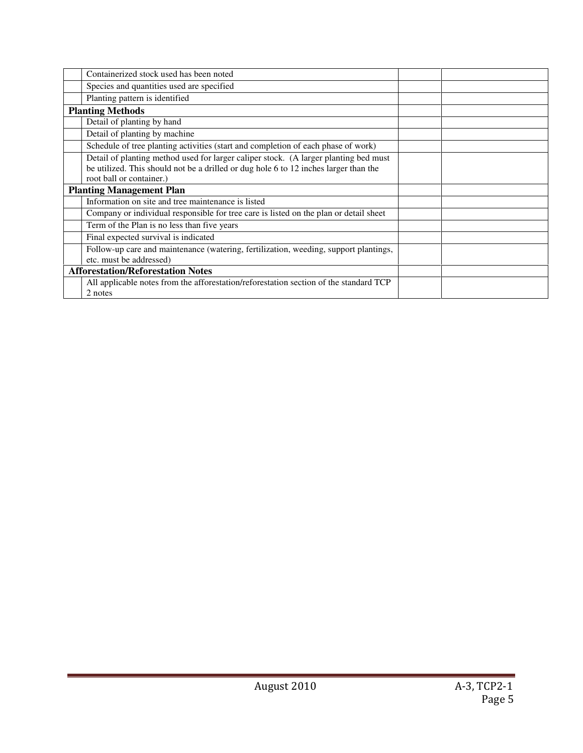| Containerized stock used has been noted                                               |  |
|---------------------------------------------------------------------------------------|--|
| Species and quantities used are specified                                             |  |
| Planting pattern is identified                                                        |  |
| <b>Planting Methods</b>                                                               |  |
| Detail of planting by hand                                                            |  |
| Detail of planting by machine                                                         |  |
| Schedule of tree planting activities (start and completion of each phase of work)     |  |
| Detail of planting method used for larger caliper stock. (A larger planting bed must  |  |
| be utilized. This should not be a drilled or dug hole 6 to 12 inches larger than the  |  |
| root ball or container.)                                                              |  |
| <b>Planting Management Plan</b>                                                       |  |
| Information on site and tree maintenance is listed                                    |  |
| Company or individual responsible for tree care is listed on the plan or detail sheet |  |
| Term of the Plan is no less than five years                                           |  |
| Final expected survival is indicated                                                  |  |
| Follow-up care and maintenance (watering, fertilization, weeding, support plantings,  |  |
| etc. must be addressed)                                                               |  |
| <b>Afforestation/Reforestation Notes</b>                                              |  |
| All applicable notes from the afforestation/reforestation section of the standard TCP |  |
| 2 notes                                                                               |  |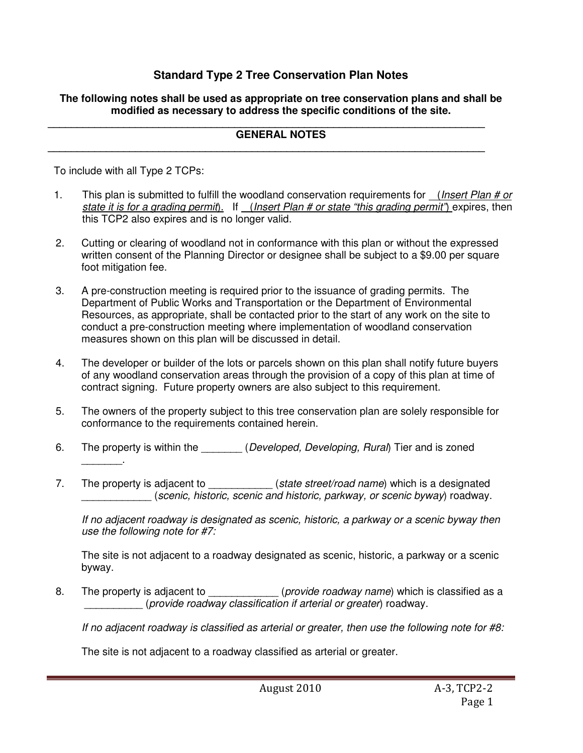# **Standard Type 2 Tree Conservation Plan Notes**

## **The following notes shall be used as appropriate on tree conservation plans and shall be modified as necessary to address the specific conditions of the site.**

#### **\_\_\_\_\_\_\_\_\_\_\_\_\_\_\_\_\_\_\_\_\_\_\_\_\_\_\_\_\_\_\_\_\_\_\_\_\_\_\_\_\_\_\_\_\_\_\_\_\_\_\_\_\_\_\_\_\_\_\_\_\_\_\_\_\_\_\_\_\_\_\_\_\_\_\_ GENERAL NOTES**

**\_\_\_\_\_\_\_\_\_\_\_\_\_\_\_\_\_\_\_\_\_\_\_\_\_\_\_\_\_\_\_\_\_\_\_\_\_\_\_\_\_\_\_\_\_\_\_\_\_\_\_\_\_\_\_\_\_\_\_\_\_\_\_\_\_\_\_\_\_\_\_\_\_\_\_** 

To include with all Type 2 TCPs:

\_\_\_\_\_\_\_.

- 1. This plan is submitted to fulfill the woodland conservation requirements for (*Insert Plan # or* state it is for a grading permit). If (Insert Plan # or state "this grading permit") expires, then this TCP2 also expires and is no longer valid.
- 2. Cutting or clearing of woodland not in conformance with this plan or without the expressed written consent of the Planning Director or designee shall be subject to a \$9.00 per square foot mitigation fee.
- 3. A pre-construction meeting is required prior to the issuance of grading permits. The Department of Public Works and Transportation or the Department of Environmental Resources, as appropriate, shall be contacted prior to the start of any work on the site to conduct a pre-construction meeting where implementation of woodland conservation measures shown on this plan will be discussed in detail.
- 4. The developer or builder of the lots or parcels shown on this plan shall notify future buyers of any woodland conservation areas through the provision of a copy of this plan at time of contract signing. Future property owners are also subject to this requirement.
- 5. The owners of the property subject to this tree conservation plan are solely responsible for conformance to the requirements contained herein.
- 6. The property is within the *Developed, Developing, Rural*) Tier and is zoned
- 7. The property is adjacent to (state street/road name) which is a designated \_\_\_\_\_\_\_\_\_\_\_\_ (scenic, historic, scenic and historic, parkway, or scenic byway) roadway.

 If no adjacent roadway is designated as scenic, historic, a parkway or a scenic byway then use the following note for #7:

 The site is not adjacent to a roadway designated as scenic, historic, a parkway or a scenic byway.

8. The property is adjacent to \_\_\_\_\_\_\_\_\_\_\_\_\_\_ (provide roadway name) which is classified as a \_\_\_\_\_\_\_\_\_\_ (provide roadway classification if arterial or greater) roadway.

If no adjacent roadway is classified as arterial or greater, then use the following note for #8:

The site is not adjacent to a roadway classified as arterial or greater.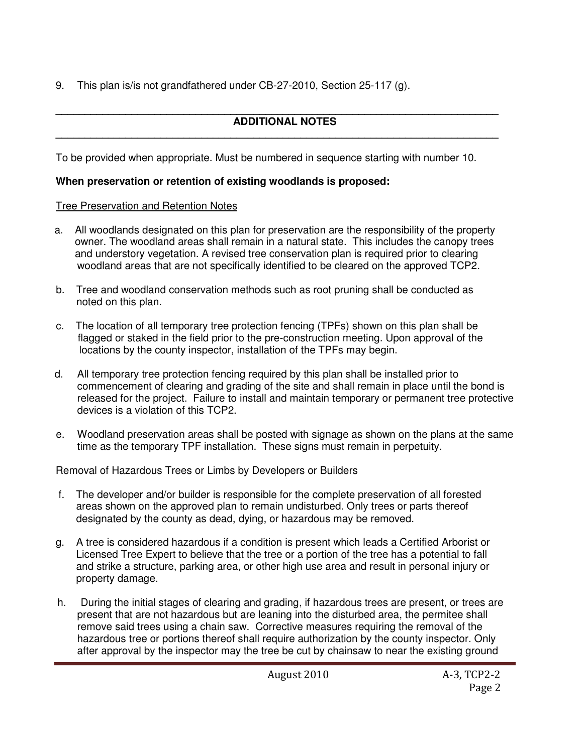9. This plan is/is not grandfathered under CB-27-2010, Section 25-117 (g).

### **\_\_\_\_\_\_\_\_\_\_\_\_\_\_\_\_\_\_\_\_\_\_\_\_\_\_\_\_\_\_\_\_\_\_\_\_\_\_\_\_\_\_\_\_\_\_\_\_\_\_\_\_\_\_\_\_\_\_\_\_\_\_\_\_\_\_\_\_\_\_\_\_\_\_\_\_ ADDITIONAL NOTES**

**\_\_\_\_\_\_\_\_\_\_\_\_\_\_\_\_\_\_\_\_\_\_\_\_\_\_\_\_\_\_\_\_\_\_\_\_\_\_\_\_\_\_\_\_\_\_\_\_\_\_\_\_\_\_\_\_\_\_\_\_\_\_\_\_\_\_\_\_\_\_\_\_\_\_\_\_** 

To be provided when appropriate. Must be numbered in sequence starting with number 10.

## **When preservation or retention of existing woodlands is proposed:**

## Tree Preservation and Retention Notes

- a. All woodlands designated on this plan for preservation are the responsibility of the property owner. The woodland areas shall remain in a natural state. This includes the canopy trees and understory vegetation. A revised tree conservation plan is required prior to clearing woodland areas that are not specifically identified to be cleared on the approved TCP2.
- b. Tree and woodland conservation methods such as root pruning shall be conducted as noted on this plan.
- c. The location of all temporary tree protection fencing (TPFs) shown on this plan shall be flagged or staked in the field prior to the pre-construction meeting. Upon approval of the locations by the county inspector, installation of the TPFs may begin.
- d. All temporary tree protection fencing required by this plan shall be installed prior to commencement of clearing and grading of the site and shall remain in place until the bond is released for the project. Failure to install and maintain temporary or permanent tree protective devices is a violation of this TCP2.
- e. Woodland preservation areas shall be posted with signage as shown on the plans at the same time as the temporary TPF installation. These signs must remain in perpetuity.

Removal of Hazardous Trees or Limbs by Developers or Builders

- f. The developer and/or builder is responsible for the complete preservation of all forested areas shown on the approved plan to remain undisturbed. Only trees or parts thereof designated by the county as dead, dying, or hazardous may be removed.
- g. A tree is considered hazardous if a condition is present which leads a Certified Arborist or Licensed Tree Expert to believe that the tree or a portion of the tree has a potential to fall and strike a structure, parking area, or other high use area and result in personal injury or property damage.
- h. During the initial stages of clearing and grading, if hazardous trees are present, or trees are present that are not hazardous but are leaning into the disturbed area, the permitee shall remove said trees using a chain saw. Corrective measures requiring the removal of the hazardous tree or portions thereof shall require authorization by the county inspector. Only after approval by the inspector may the tree be cut by chainsaw to near the existing ground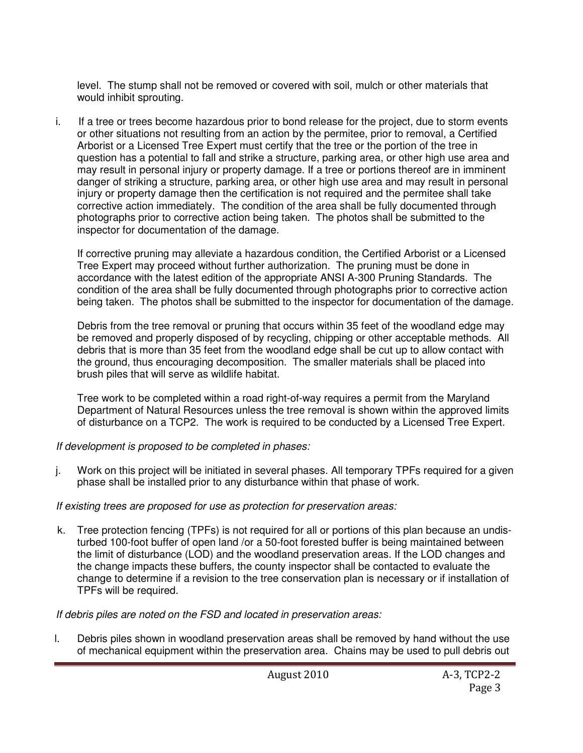level. The stump shall not be removed or covered with soil, mulch or other materials that would inhibit sprouting.

i. If a tree or trees become hazardous prior to bond release for the project, due to storm events or other situations not resulting from an action by the permitee, prior to removal, a Certified Arborist or a Licensed Tree Expert must certify that the tree or the portion of the tree in question has a potential to fall and strike a structure, parking area, or other high use area and may result in personal injury or property damage. If a tree or portions thereof are in imminent danger of striking a structure, parking area, or other high use area and may result in personal injury or property damage then the certification is not required and the permitee shall take corrective action immediately. The condition of the area shall be fully documented through photographs prior to corrective action being taken. The photos shall be submitted to the inspector for documentation of the damage.

 If corrective pruning may alleviate a hazardous condition, the Certified Arborist or a Licensed Tree Expert may proceed without further authorization. The pruning must be done in accordance with the latest edition of the appropriate ANSI A-300 Pruning Standards. The condition of the area shall be fully documented through photographs prior to corrective action being taken. The photos shall be submitted to the inspector for documentation of the damage.

 Debris from the tree removal or pruning that occurs within 35 feet of the woodland edge may be removed and properly disposed of by recycling, chipping or other acceptable methods. All debris that is more than 35 feet from the woodland edge shall be cut up to allow contact with the ground, thus encouraging decomposition. The smaller materials shall be placed into brush piles that will serve as wildlife habitat.

 Tree work to be completed within a road right-of-way requires a permit from the Maryland Department of Natural Resources unless the tree removal is shown within the approved limits of disturbance on a TCP2. The work is required to be conducted by a Licensed Tree Expert.

If development is proposed to be completed in phases:

j. Work on this project will be initiated in several phases. All temporary TPFs required for a given phase shall be installed prior to any disturbance within that phase of work.

If existing trees are proposed for use as protection for preservation areas:

 k. Tree protection fencing (TPFs) is not required for all or portions of this plan because an undisturbed 100-foot buffer of open land /or a 50-foot forested buffer is being maintained between the limit of disturbance (LOD) and the woodland preservation areas. If the LOD changes and the change impacts these buffers, the county inspector shall be contacted to evaluate the change to determine if a revision to the tree conservation plan is necessary or if installation of TPFs will be required.

If debris piles are noted on the FSD and located in preservation areas:

 l. Debris piles shown in woodland preservation areas shall be removed by hand without the use of mechanical equipment within the preservation area. Chains may be used to pull debris out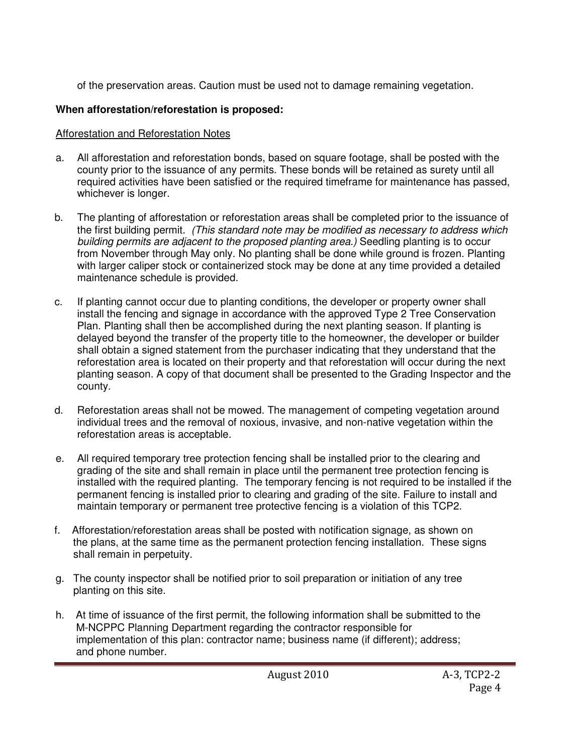of the preservation areas. Caution must be used not to damage remaining vegetation.

# **When afforestation/reforestation is proposed:**

# Afforestation and Reforestation Notes

- a. All afforestation and reforestation bonds, based on square footage, shall be posted with the county prior to the issuance of any permits. These bonds will be retained as surety until all required activities have been satisfied or the required timeframe for maintenance has passed, whichever is longer.
- b. The planting of afforestation or reforestation areas shall be completed prior to the issuance of the first building permit. (This standard note may be modified as necessary to address which building permits are adjacent to the proposed planting area.) Seedling planting is to occur from November through May only. No planting shall be done while ground is frozen. Planting with larger caliper stock or containerized stock may be done at any time provided a detailed maintenance schedule is provided.
- c. If planting cannot occur due to planting conditions, the developer or property owner shall install the fencing and signage in accordance with the approved Type 2 Tree Conservation Plan. Planting shall then be accomplished during the next planting season. If planting is delayed beyond the transfer of the property title to the homeowner, the developer or builder shall obtain a signed statement from the purchaser indicating that they understand that the reforestation area is located on their property and that reforestation will occur during the next planting season. A copy of that document shall be presented to the Grading Inspector and the county.
- d. Reforestation areas shall not be mowed. The management of competing vegetation around individual trees and the removal of noxious, invasive, and non-native vegetation within the reforestation areas is acceptable.
- e. All required temporary tree protection fencing shall be installed prior to the clearing and grading of the site and shall remain in place until the permanent tree protection fencing is installed with the required planting. The temporary fencing is not required to be installed if the permanent fencing is installed prior to clearing and grading of the site. Failure to install and maintain temporary or permanent tree protective fencing is a violation of this TCP2.
- f. Afforestation/reforestation areas shall be posted with notification signage, as shown on the plans, at the same time as the permanent protection fencing installation. These signs shall remain in perpetuity.
- g. The county inspector shall be notified prior to soil preparation or initiation of any tree planting on this site.
- h. At time of issuance of the first permit, the following information shall be submitted to the M-NCPPC Planning Department regarding the contractor responsible for implementation of this plan: contractor name; business name (if different); address; and phone number.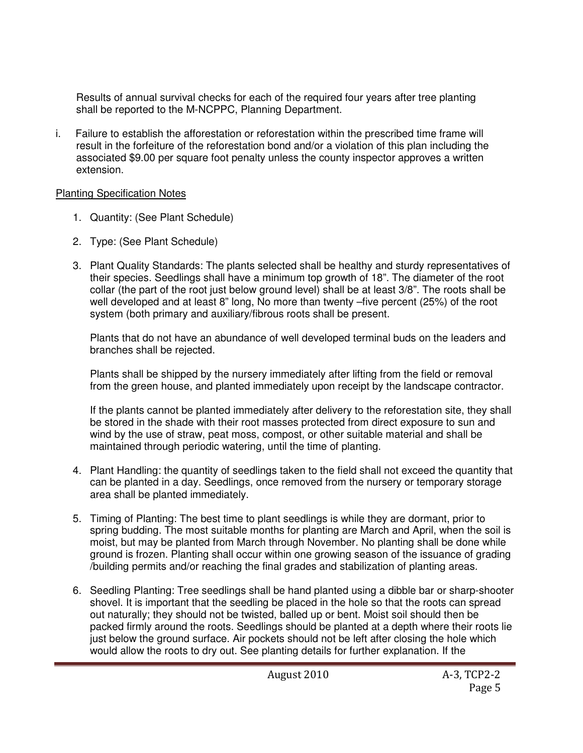Results of annual survival checks for each of the required four years after tree planting shall be reported to the M-NCPPC, Planning Department.

i. Failure to establish the afforestation or reforestation within the prescribed time frame will result in the forfeiture of the reforestation bond and/or a violation of this plan including the associated \$9.00 per square foot penalty unless the county inspector approves a written extension.

## Planting Specification Notes

- 1. Quantity: (See Plant Schedule)
- 2. Type: (See Plant Schedule)
- 3. Plant Quality Standards: The plants selected shall be healthy and sturdy representatives of their species. Seedlings shall have a minimum top growth of 18". The diameter of the root collar (the part of the root just below ground level) shall be at least 3/8". The roots shall be well developed and at least 8" long, No more than twenty –five percent (25%) of the root system (both primary and auxiliary/fibrous roots shall be present.

Plants that do not have an abundance of well developed terminal buds on the leaders and branches shall be rejected.

Plants shall be shipped by the nursery immediately after lifting from the field or removal from the green house, and planted immediately upon receipt by the landscape contractor.

If the plants cannot be planted immediately after delivery to the reforestation site, they shall be stored in the shade with their root masses protected from direct exposure to sun and wind by the use of straw, peat moss, compost, or other suitable material and shall be maintained through periodic watering, until the time of planting.

- 4. Plant Handling: the quantity of seedlings taken to the field shall not exceed the quantity that can be planted in a day. Seedlings, once removed from the nursery or temporary storage area shall be planted immediately.
- 5. Timing of Planting: The best time to plant seedlings is while they are dormant, prior to spring budding. The most suitable months for planting are March and April, when the soil is moist, but may be planted from March through November. No planting shall be done while ground is frozen. Planting shall occur within one growing season of the issuance of grading /building permits and/or reaching the final grades and stabilization of planting areas.
- 6. Seedling Planting: Tree seedlings shall be hand planted using a dibble bar or sharp-shooter shovel. It is important that the seedling be placed in the hole so that the roots can spread out naturally; they should not be twisted, balled up or bent. Moist soil should then be packed firmly around the roots. Seedlings should be planted at a depth where their roots lie just below the ground surface. Air pockets should not be left after closing the hole which would allow the roots to dry out. See planting details for further explanation. If the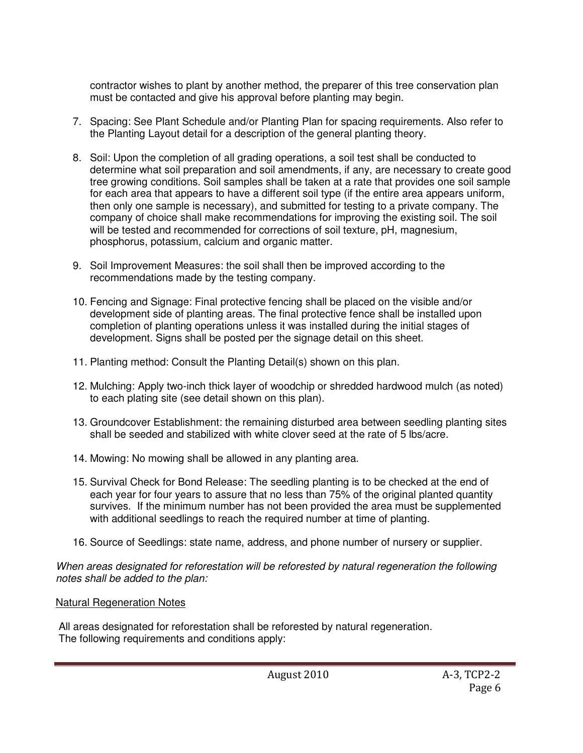contractor wishes to plant by another method, the preparer of this tree conservation plan must be contacted and give his approval before planting may begin.

- 7. Spacing: See Plant Schedule and/or Planting Plan for spacing requirements. Also refer to the Planting Layout detail for a description of the general planting theory.
- 8. Soil: Upon the completion of all grading operations, a soil test shall be conducted to determine what soil preparation and soil amendments, if any, are necessary to create good tree growing conditions. Soil samples shall be taken at a rate that provides one soil sample for each area that appears to have a different soil type (if the entire area appears uniform, then only one sample is necessary), and submitted for testing to a private company. The company of choice shall make recommendations for improving the existing soil. The soil will be tested and recommended for corrections of soil texture, pH, magnesium, phosphorus, potassium, calcium and organic matter.
- 9. Soil Improvement Measures: the soil shall then be improved according to the recommendations made by the testing company.
- 10. Fencing and Signage: Final protective fencing shall be placed on the visible and/or development side of planting areas. The final protective fence shall be installed upon completion of planting operations unless it was installed during the initial stages of development. Signs shall be posted per the signage detail on this sheet.
- 11. Planting method: Consult the Planting Detail(s) shown on this plan.
- 12. Mulching: Apply two-inch thick layer of woodchip or shredded hardwood mulch (as noted) to each plating site (see detail shown on this plan).
- 13. Groundcover Establishment: the remaining disturbed area between seedling planting sites shall be seeded and stabilized with white clover seed at the rate of 5 lbs/acre.
- 14. Mowing: No mowing shall be allowed in any planting area.
- 15. Survival Check for Bond Release: The seedling planting is to be checked at the end of each year for four years to assure that no less than 75% of the original planted quantity survives. If the minimum number has not been provided the area must be supplemented with additional seedlings to reach the required number at time of planting.
- 16. Source of Seedlings: state name, address, and phone number of nursery or supplier.

When areas designated for reforestation will be reforested by natural regeneration the following notes shall be added to the plan:

Natural Regeneration Notes

 All areas designated for reforestation shall be reforested by natural regeneration. The following requirements and conditions apply: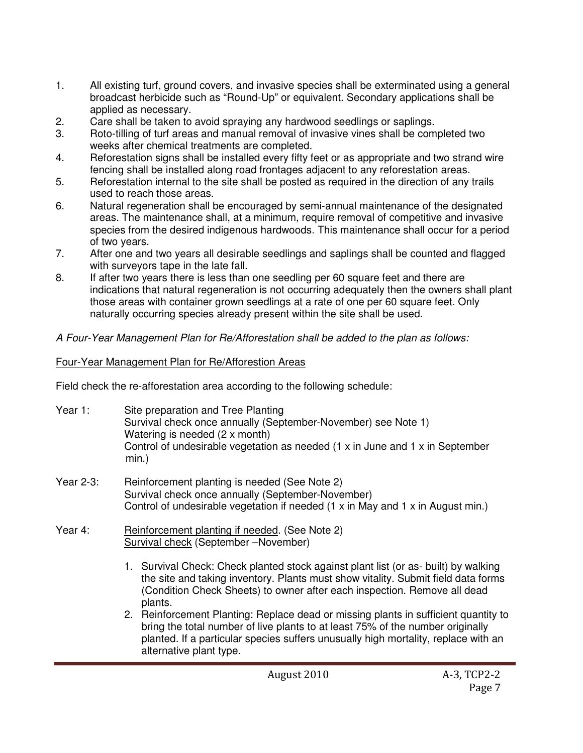- 1. All existing turf, ground covers, and invasive species shall be exterminated using a general broadcast herbicide such as "Round-Up" or equivalent. Secondary applications shall be applied as necessary.
- 2. Care shall be taken to avoid spraying any hardwood seedlings or saplings.
- 3. Roto-tilling of turf areas and manual removal of invasive vines shall be completed two weeks after chemical treatments are completed.
- 4. Reforestation signs shall be installed every fifty feet or as appropriate and two strand wire fencing shall be installed along road frontages adjacent to any reforestation areas.
- 5. Reforestation internal to the site shall be posted as required in the direction of any trails used to reach those areas.
- 6. Natural regeneration shall be encouraged by semi-annual maintenance of the designated areas. The maintenance shall, at a minimum, require removal of competitive and invasive species from the desired indigenous hardwoods. This maintenance shall occur for a period of two years.
- 7. After one and two years all desirable seedlings and saplings shall be counted and flagged with surveyors tape in the late fall.
- 8. If after two years there is less than one seedling per 60 square feet and there are indications that natural regeneration is not occurring adequately then the owners shall plant those areas with container grown seedlings at a rate of one per 60 square feet. Only naturally occurring species already present within the site shall be used.

## A Four-Year Management Plan for Re/Afforestation shall be added to the plan as follows:

## Four-Year Management Plan for Re/Afforestion Areas

Field check the re-afforestation area according to the following schedule:

- Year 1: Site preparation and Tree Planting Survival check once annually (September-November) see Note 1) Watering is needed (2 x month) Control of undesirable vegetation as needed  $(1 \times in$  June and  $1 \times in$  September min.)
- Year 2-3: Reinforcement planting is needed (See Note 2) Survival check once annually (September-November) Control of undesirable vegetation if needed (1 x in May and 1 x in August min.)
- Year 4: Reinforcement planting if needed. (See Note 2) Survival check (September –November)
	- 1. Survival Check: Check planted stock against plant list (or as- built) by walking the site and taking inventory. Plants must show vitality. Submit field data forms (Condition Check Sheets) to owner after each inspection. Remove all dead plants.
	- 2. Reinforcement Planting: Replace dead or missing plants in sufficient quantity to bring the total number of live plants to at least 75% of the number originally planted. If a particular species suffers unusually high mortality, replace with an alternative plant type.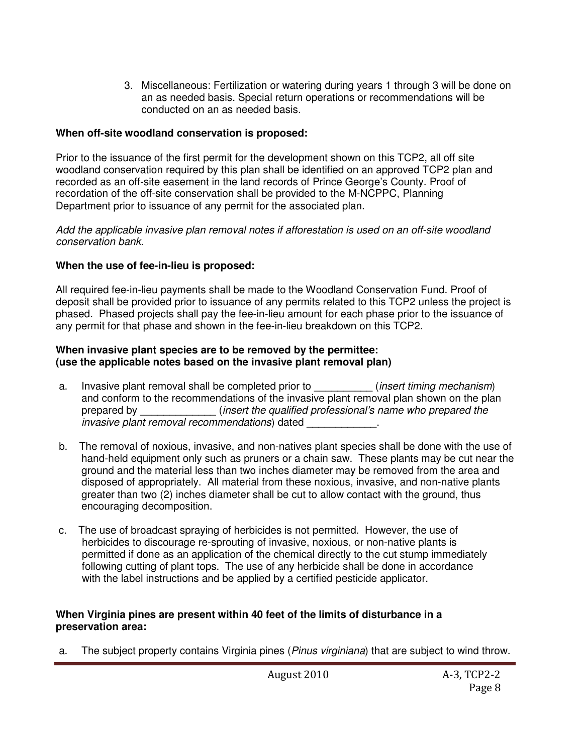3. Miscellaneous: Fertilization or watering during years 1 through 3 will be done on an as needed basis. Special return operations or recommendations will be conducted on an as needed basis.

# **When off-site woodland conservation is proposed:**

Prior to the issuance of the first permit for the development shown on this TCP2, all off site woodland conservation required by this plan shall be identified on an approved TCP2 plan and recorded as an off-site easement in the land records of Prince George's County. Proof of recordation of the off-site conservation shall be provided to the M-NCPPC, Planning Department prior to issuance of any permit for the associated plan.

Add the applicable invasive plan removal notes if afforestation is used on an off-site woodland conservation bank.

# **When the use of fee-in-lieu is proposed:**

All required fee-in-lieu payments shall be made to the Woodland Conservation Fund. Proof of deposit shall be provided prior to issuance of any permits related to this TCP2 unless the project is phased. Phased projects shall pay the fee-in-lieu amount for each phase prior to the issuance of any permit for that phase and shown in the fee-in-lieu breakdown on this TCP2.

## **When invasive plant species are to be removed by the permittee: (use the applicable notes based on the invasive plant removal plan)**

- a. Invasive plant removal shall be completed prior to \_\_\_\_\_\_\_\_\_\_\_ (insert timing mechanism) and conform to the recommendations of the invasive plant removal plan shown on the plan prepared by \_\_\_\_\_\_\_\_\_\_\_\_\_ (insert the qualified professional's name who prepared the invasive plant removal recommendations) dated
- b. The removal of noxious, invasive, and non-natives plant species shall be done with the use of hand-held equipment only such as pruners or a chain saw. These plants may be cut near the ground and the material less than two inches diameter may be removed from the area and disposed of appropriately. All material from these noxious, invasive, and non-native plants greater than two (2) inches diameter shall be cut to allow contact with the ground, thus encouraging decomposition.
- c. The use of broadcast spraying of herbicides is not permitted. However, the use of herbicides to discourage re-sprouting of invasive, noxious, or non-native plants is permitted if done as an application of the chemical directly to the cut stump immediately following cutting of plant tops. The use of any herbicide shall be done in accordance with the label instructions and be applied by a certified pesticide applicator.

## **When Virginia pines are present within 40 feet of the limits of disturbance in a preservation area:**

a. The subject property contains Virginia pines (*Pinus virginiana*) that are subject to wind throw.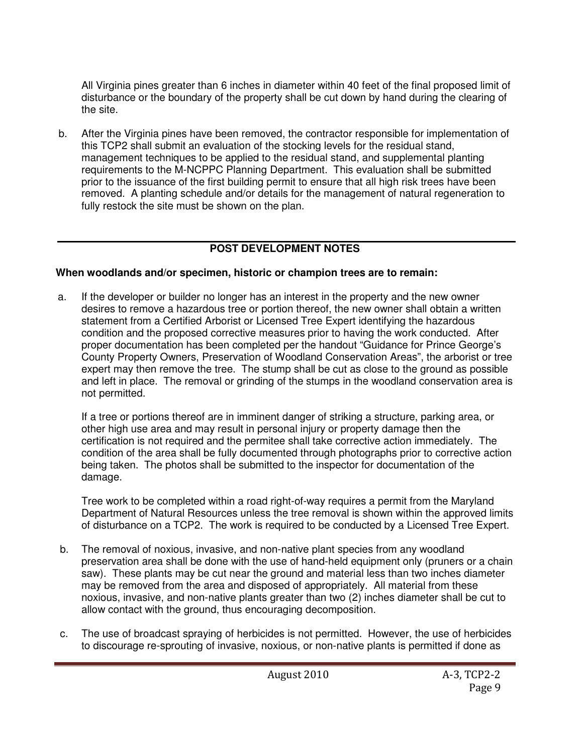All Virginia pines greater than 6 inches in diameter within 40 feet of the final proposed limit of disturbance or the boundary of the property shall be cut down by hand during the clearing of the site.

b. After the Virginia pines have been removed, the contractor responsible for implementation of this TCP2 shall submit an evaluation of the stocking levels for the residual stand, management techniques to be applied to the residual stand, and supplemental planting requirements to the M-NCPPC Planning Department. This evaluation shall be submitted prior to the issuance of the first building permit to ensure that all high risk trees have been removed. A planting schedule and/or details for the management of natural regeneration to fully restock the site must be shown on the plan.

# **POST DEVELOPMENT NOTES**

# **When woodlands and/or specimen, historic or champion trees are to remain:**

a. If the developer or builder no longer has an interest in the property and the new owner desires to remove a hazardous tree or portion thereof, the new owner shall obtain a written statement from a Certified Arborist or Licensed Tree Expert identifying the hazardous condition and the proposed corrective measures prior to having the work conducted. After proper documentation has been completed per the handout "Guidance for Prince George's County Property Owners, Preservation of Woodland Conservation Areas", the arborist or tree expert may then remove the tree. The stump shall be cut as close to the ground as possible and left in place. The removal or grinding of the stumps in the woodland conservation area is not permitted.

If a tree or portions thereof are in imminent danger of striking a structure, parking area, or other high use area and may result in personal injury or property damage then the certification is not required and the permitee shall take corrective action immediately. The condition of the area shall be fully documented through photographs prior to corrective action being taken. The photos shall be submitted to the inspector for documentation of the damage.

Tree work to be completed within a road right-of-way requires a permit from the Maryland Department of Natural Resources unless the tree removal is shown within the approved limits of disturbance on a TCP2. The work is required to be conducted by a Licensed Tree Expert.

- b. The removal of noxious, invasive, and non-native plant species from any woodland preservation area shall be done with the use of hand-held equipment only (pruners or a chain saw). These plants may be cut near the ground and material less than two inches diameter may be removed from the area and disposed of appropriately. All material from these noxious, invasive, and non-native plants greater than two (2) inches diameter shall be cut to allow contact with the ground, thus encouraging decomposition.
- c. The use of broadcast spraying of herbicides is not permitted. However, the use of herbicides to discourage re-sprouting of invasive, noxious, or non-native plants is permitted if done as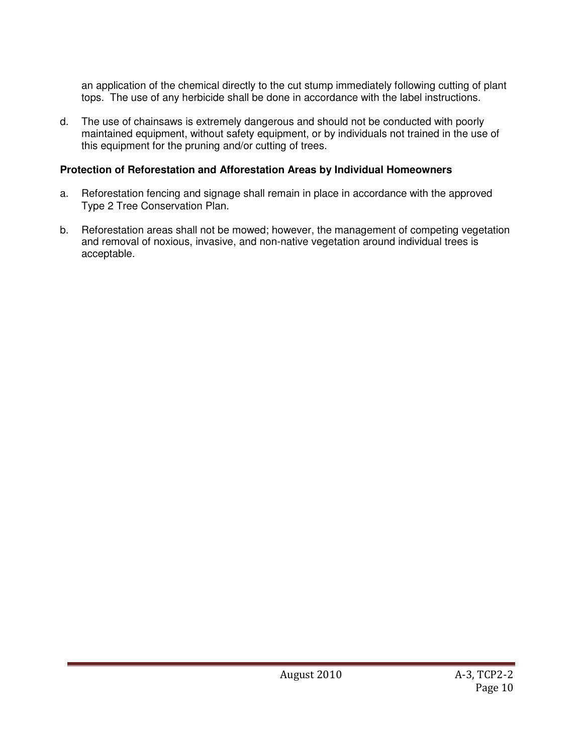an application of the chemical directly to the cut stump immediately following cutting of plant tops. The use of any herbicide shall be done in accordance with the label instructions.

d. The use of chainsaws is extremely dangerous and should not be conducted with poorly maintained equipment, without safety equipment, or by individuals not trained in the use of this equipment for the pruning and/or cutting of trees.

## **Protection of Reforestation and Afforestation Areas by Individual Homeowners**

- a. Reforestation fencing and signage shall remain in place in accordance with the approved Type 2 Tree Conservation Plan.
- b. Reforestation areas shall not be mowed; however, the management of competing vegetation and removal of noxious, invasive, and non-native vegetation around individual trees is acceptable.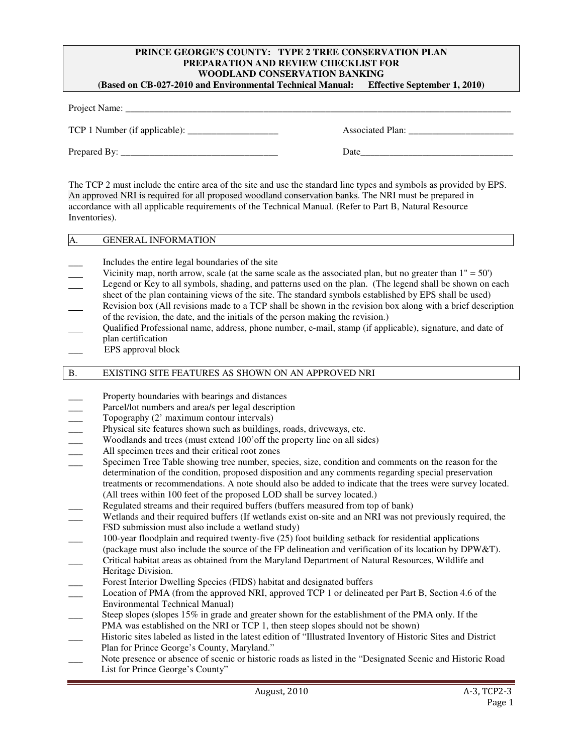#### **PRINCE GEORGE'S COUNTY: TYPE 2 TREE CONSERVATION PLAN PREPARATION AND REVIEW CHECKLIST FOR WOODLAND CONSERVATION BANKING (Based on CB-027-2010 and Environmental Technical Manual: Effective September 1, 2010)**

| Associated Plan: |
|------------------|
| Date             |
|                  |

The TCP 2 must include the entire area of the site and use the standard line types and symbols as provided by EPS. An approved NRI is required for all proposed woodland conservation banks. The NRI must be prepared in accordance with all applicable requirements of the Technical Manual. (Refer to Part B, Natural Resource Inventories).

#### A. GENERAL INFORMATION

- \_\_\_ Includes the entire legal boundaries of the site
- Vicinity map, north arrow, scale (at the same scale as the associated plan, but no greater than  $1'' = 50'$ )
- Legend or Key to all symbols, shading, and patterns used on the plan. (The legend shall be shown on each sheet of the plan containing views of the site. The standard symbols established by EPS shall be used)
- Revision box (All revisions made to a TCP shall be shown in the revision box along with a brief description of the revision, the date, and the initials of the person making the revision.)
- Qualified Professional name, address, phone number, e-mail, stamp (if applicable), signature, and date of plan certification
- \_\_\_ EPS approval block

#### B. EXISTING SITE FEATURES AS SHOWN ON AN APPROVED NRI

- Property boundaries with bearings and distances
- Parcel/lot numbers and area/s per legal description
- Topography (2' maximum contour intervals)
- \_\_\_ Physical site features shown such as buildings, roads, driveways, etc.
- Woodlands and trees (must extend 100' off the property line on all sides)
- 
- \_\_\_ All specimen trees and their critical root zones Specimen Tree Table showing tree number, species, size, condition and comments on the reason for the determination of the condition, proposed disposition and any comments regarding special preservation treatments or recommendations. A note should also be added to indicate that the trees were survey located. (All trees within 100 feet of the proposed LOD shall be survey located.)
- Regulated streams and their required buffers (buffers measured from top of bank)
- \_\_\_ Wetlands and their required buffers (If wetlands exist on-site and an NRI was not previously required, the FSD submission must also include a wetland study)
- \_\_\_ 100-year floodplain and required twenty-five (25) foot building setback for residential applications
- (package must also include the source of the FP delineation and verification of its location by DPW&T).
- \_\_\_ Critical habitat areas as obtained from the Maryland Department of Natural Resources, Wildlife and Heritage Division.
- Forest Interior Dwelling Species (FIDS) habitat and designated buffers
- Location of PMA (from the approved NRI, approved TCP 1 or delineated per Part B, Section 4.6 of the Environmental Technical Manual)
- Steep slopes (slopes  $15\%$  in grade and greater shown for the establishment of the PMA only. If the PMA was established on the NRI or TCP 1, then steep slopes should not be shown)
- \_\_\_ Historic sites labeled as listed in the latest edition of "Illustrated Inventory of Historic Sites and District Plan for Prince George's County, Maryland."
- Note presence or absence of scenic or historic roads as listed in the "Designated Scenic and Historic Road List for Prince George's County"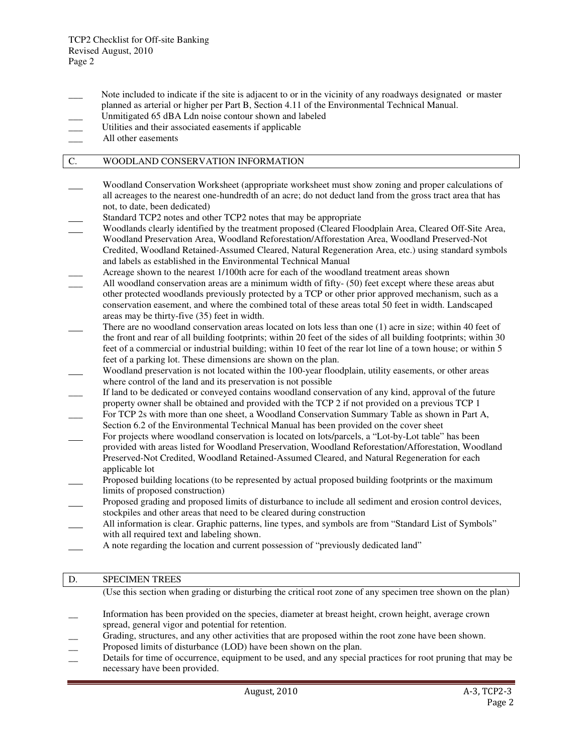- Note included to indicate if the site is adjacent to or in the vicinity of any roadways designated or master planned as arterial or higher per Part B, Section 4.11 of the Environmental Technical Manual.
- Unmitigated 65 dBA Ldn noise contour shown and labeled
- Utilities and their associated easements if applicable
- All other easements

#### C. WOODLAND CONSERVATION INFORMATION

- Woodland Conservation Worksheet (appropriate worksheet must show zoning and proper calculations of all acreages to the nearest one-hundredth of an acre; do not deduct land from the gross tract area that has not, to date, been dedicated)
- Standard TCP2 notes and other TCP2 notes that may be appropriate
- Woodlands clearly identified by the treatment proposed (Cleared Floodplain Area, Cleared Off-Site Area, Woodland Preservation Area, Woodland Reforestation/Afforestation Area, Woodland Preserved-Not Credited, Woodland Retained-Assumed Cleared, Natural Regeneration Area, etc.) using standard symbols and labels as established in the Environmental Technical Manual
- Acreage shown to the nearest 1/100th acre for each of the woodland treatment areas shown
- All woodland conservation areas are a minimum width of fifty- (50) feet except where these areas abut other protected woodlands previously protected by a TCP or other prior approved mechanism, such as a conservation easement, and where the combined total of these areas total 50 feet in width. Landscaped areas may be thirty-five (35) feet in width.
- There are no woodland conservation areas located on lots less than one (1) acre in size; within 40 feet of the front and rear of all building footprints; within 20 feet of the sides of all building footprints; within 30 feet of a commercial or industrial building; within 10 feet of the rear lot line of a town house; or within 5 feet of a parking lot. These dimensions are shown on the plan.
- Woodland preservation is not located within the 100-year floodplain, utility easements, or other areas where control of the land and its preservation is not possible
- If land to be dedicated or conveyed contains woodland conservation of any kind, approval of the future property owner shall be obtained and provided with the TCP 2 if not provided on a previous TCP 1
- For TCP 2s with more than one sheet, a Woodland Conservation Summary Table as shown in Part A, Section 6.2 of the Environmental Technical Manual has been provided on the cover sheet
- For projects where woodland conservation is located on lots/parcels, a "Lot-by-Lot table" has been provided with areas listed for Woodland Preservation, Woodland Reforestation/Afforestation, Woodland Preserved-Not Credited, Woodland Retained-Assumed Cleared, and Natural Regeneration for each applicable lot
- Proposed building locations (to be represented by actual proposed building footprints or the maximum limits of proposed construction)
- Proposed grading and proposed limits of disturbance to include all sediment and erosion control devices, stockpiles and other areas that need to be cleared during construction
- All information is clear. Graphic patterns, line types, and symbols are from "Standard List of Symbols" with all required text and labeling shown.
- A note regarding the location and current possession of "previously dedicated land"

### D. SPECIMEN TREES

(Use this section when grading or disturbing the critical root zone of any specimen tree shown on the plan)

- Information has been provided on the species, diameter at breast height, crown height, average crown spread, general vigor and potential for retention.
- Grading, structures, and any other activities that are proposed within the root zone have been shown.
- Proposed limits of disturbance (LOD) have been shown on the plan.
- Details for time of occurrence, equipment to be used, and any special practices for root pruning that may be necessary have been provided.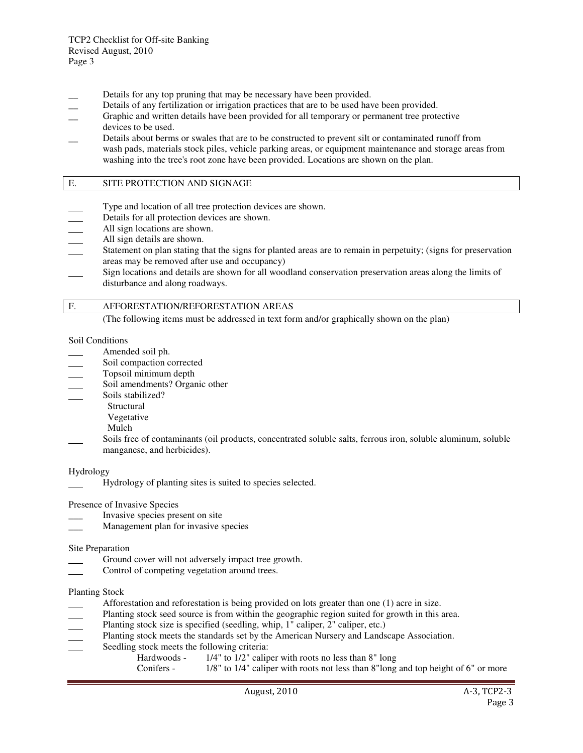- Details for any top pruning that may be necessary have been provided.
- Details of any fertilization or irrigation practices that are to be used have been provided.
- \_\_ Graphic and written details have been provided for all temporary or permanent tree protective devices to be used.
- Details about berms or swales that are to be constructed to prevent silt or contaminated runoff from wash pads, materials stock piles, vehicle parking areas, or equipment maintenance and storage areas from washing into the tree's root zone have been provided. Locations are shown on the plan.

#### E. SITE PROTECTION AND SIGNAGE

- Type and location of all tree protection devices are shown.
- Details for all protection devices are shown.
- All sign locations are shown.
- All sign details are shown.
- Statement on plan stating that the signs for planted areas are to remain in perpetuity; (signs for preservation areas may be removed after use and occupancy)
- Sign locations and details are shown for all woodland conservation preservation areas along the limits of disturbance and along roadways.

#### F. AFFORESTATION/REFORESTATION AREAS

(The following items must be addressed in text form and/or graphically shown on the plan)

#### Soil Conditions

- Amended soil ph.
- Soil compaction corrected
- Topsoil minimum depth
- Soil amendments? Organic other
- Soils stabilized?
	- Structural
	- Vegetative
	- Mulch
- Soils free of contaminants (oil products, concentrated soluble salts, ferrous iron, soluble aluminum, soluble manganese, and herbicides).

Hydrology

Hydrology of planting sites is suited to species selected.

Presence of Invasive Species

- \_\_\_ Invasive species present on site
- Management plan for invasive species

#### Site Preparation

- Ground cover will not adversely impact tree growth.
- Control of competing vegetation around trees.

#### Planting Stock

- Afforestation and reforestation is being provided on lots greater than one (1) acre in size.
- Planting stock seed source is from within the geographic region suited for growth in this area.
- Planting stock size is specified (seedling, whip, 1" caliper, 2" caliper, etc.)
- Planting stock meets the standards set by the American Nursery and Landscape Association.
- Seedling stock meets the following criteria:
	- Hardwoods 1/4" to 1/2" caliper with roots no less than 8" long
	- Conifers 1/8" to 1/4" caliper with roots not less than 8"long and top height of 6" or more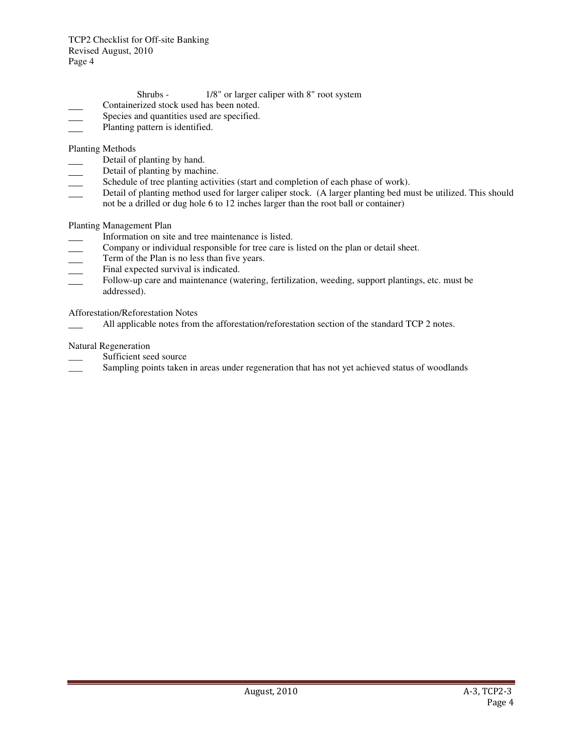- Shrubs 1/8" or larger caliper with 8" root system
- Containerized stock used has been noted.
- Species and quantities used are specified.
- Planting pattern is identified.

Planting Methods

- Detail of planting by hand.
- Detail of planting by machine.
- Schedule of tree planting activities (start and completion of each phase of work).
- Detail of planting method used for larger caliper stock. (A larger planting bed must be utilized. This should not be a drilled or dug hole 6 to 12 inches larger than the root ball or container)

### Planting Management Plan

- Information on site and tree maintenance is listed.
- Company or individual responsible for tree care is listed on the plan or detail sheet.
- Term of the Plan is no less than five years.
- Final expected survival is indicated.
- Follow-up care and maintenance (watering, fertilization, weeding, support plantings, etc. must be addressed).

Afforestation/Reforestation Notes

All applicable notes from the afforestation/reforestation section of the standard TCP 2 notes.

### Natural Regeneration

- Sufficient seed source
- Sampling points taken in areas under regeneration that has not yet achieved status of woodlands